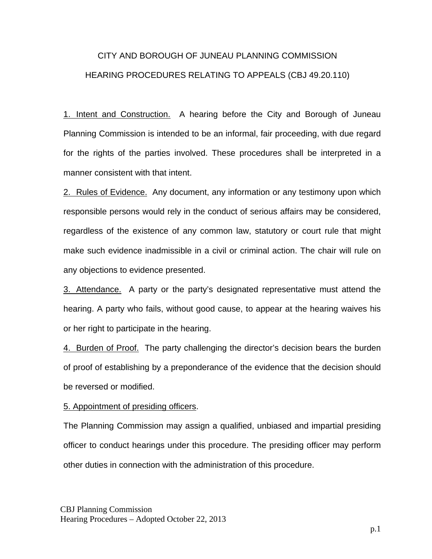## CITY AND BOROUGH OF JUNEAU PLANNING COMMISSION HEARING PROCEDURES RELATING TO APPEALS (CBJ 49.20.110)

1. Intent and Construction. A hearing before the City and Borough of Juneau Planning Commission is intended to be an informal, fair proceeding, with due regard for the rights of the parties involved. These procedures shall be interpreted in a manner consistent with that intent.

2. Rules of Evidence. Any document, any information or any testimony upon which responsible persons would rely in the conduct of serious affairs may be considered, regardless of the existence of any common law, statutory or court rule that might make such evidence inadmissible in a civil or criminal action. The chair will rule on any objections to evidence presented.

3. Attendance. A party or the party's designated representative must attend the hearing. A party who fails, without good cause, to appear at the hearing waives his or her right to participate in the hearing.

4. Burden of Proof. The party challenging the director's decision bears the burden of proof of establishing by a preponderance of the evidence that the decision should be reversed or modified.

## 5. Appointment of presiding officers.

The Planning Commission may assign a qualified, unbiased and impartial presiding officer to conduct hearings under this procedure. The presiding officer may perform other duties in connection with the administration of this procedure.

CBJ Planning Commission Hearing Procedures – Adopted October 22, 2013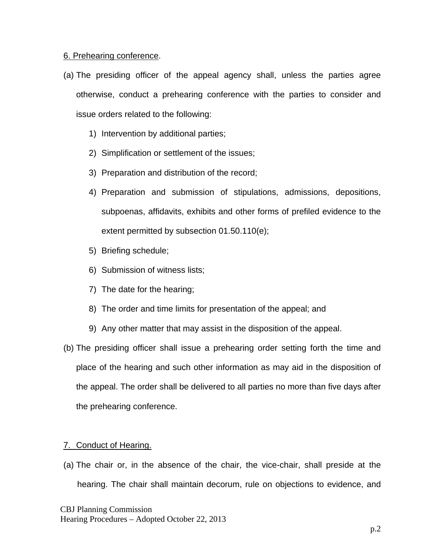## 6. Prehearing conference.

- (a) The presiding officer of the appeal agency shall, unless the parties agree otherwise, conduct a prehearing conference with the parties to consider and issue orders related to the following:
	- 1) Intervention by additional parties;
	- 2) Simplification or settlement of the issues;
	- 3) Preparation and distribution of the record;
	- 4) Preparation and submission of stipulations, admissions, depositions, subpoenas, affidavits, exhibits and other forms of prefiled evidence to the extent permitted by subsection 01.50.110(e);
	- 5) Briefing schedule;
	- 6) Submission of witness lists;
	- 7) The date for the hearing;
	- 8) The order and time limits for presentation of the appeal; and
	- 9) Any other matter that may assist in the disposition of the appeal.
- (b) The presiding officer shall issue a prehearing order setting forth the time and place of the hearing and such other information as may aid in the disposition of the appeal. The order shall be delivered to all parties no more than five days after the prehearing conference.

## 7. Conduct of Hearing.

(a) The chair or, in the absence of the chair, the vice-chair, shall preside at the hearing. The chair shall maintain decorum, rule on objections to evidence, and

CBJ Planning Commission Hearing Procedures – Adopted October 22, 2013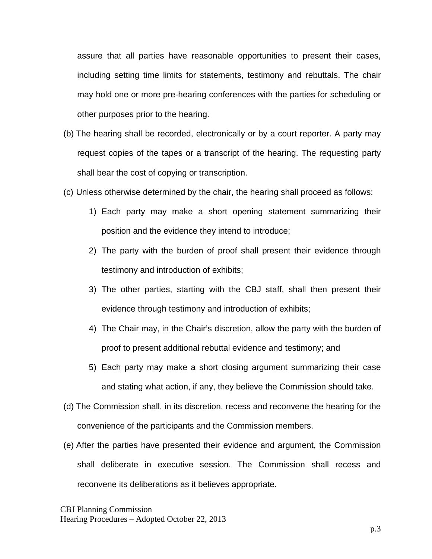assure that all parties have reasonable opportunities to present their cases, including setting time limits for statements, testimony and rebuttals. The chair may hold one or more pre-hearing conferences with the parties for scheduling or other purposes prior to the hearing.

- (b) The hearing shall be recorded, electronically or by a court reporter. A party may request copies of the tapes or a transcript of the hearing. The requesting party shall bear the cost of copying or transcription.
- (c) Unless otherwise determined by the chair, the hearing shall proceed as follows:
	- 1) Each party may make a short opening statement summarizing their position and the evidence they intend to introduce;
	- 2) The party with the burden of proof shall present their evidence through testimony and introduction of exhibits;
	- 3) The other parties, starting with the CBJ staff, shall then present their evidence through testimony and introduction of exhibits;
	- 4) The Chair may, in the Chair's discretion, allow the party with the burden of proof to present additional rebuttal evidence and testimony; and
	- 5) Each party may make a short closing argument summarizing their case and stating what action, if any, they believe the Commission should take.
- (d) The Commission shall, in its discretion, recess and reconvene the hearing for the convenience of the participants and the Commission members.
- (e) After the parties have presented their evidence and argument, the Commission shall deliberate in executive session. The Commission shall recess and reconvene its deliberations as it believes appropriate.

CBJ Planning Commission Hearing Procedures – Adopted October 22, 2013